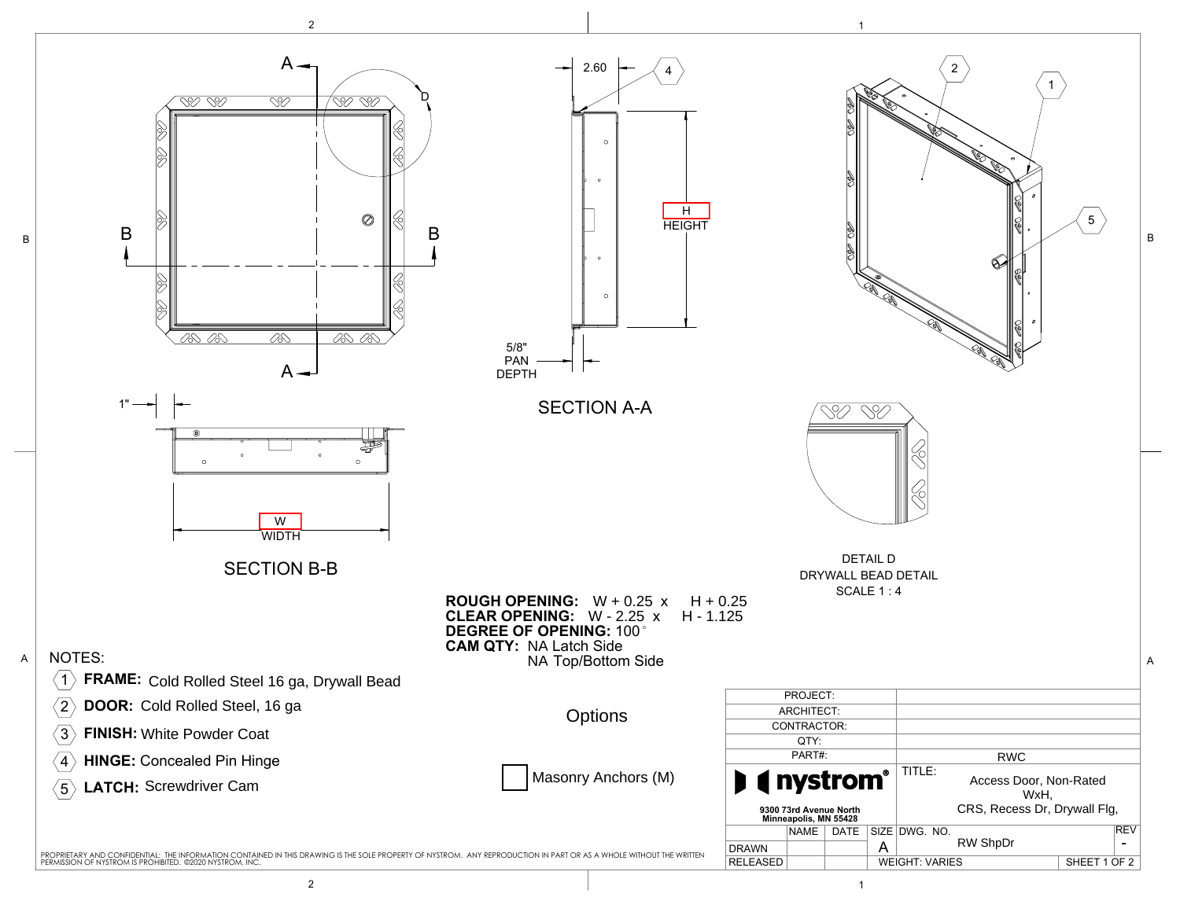

2 and  $\overline{1}$  1